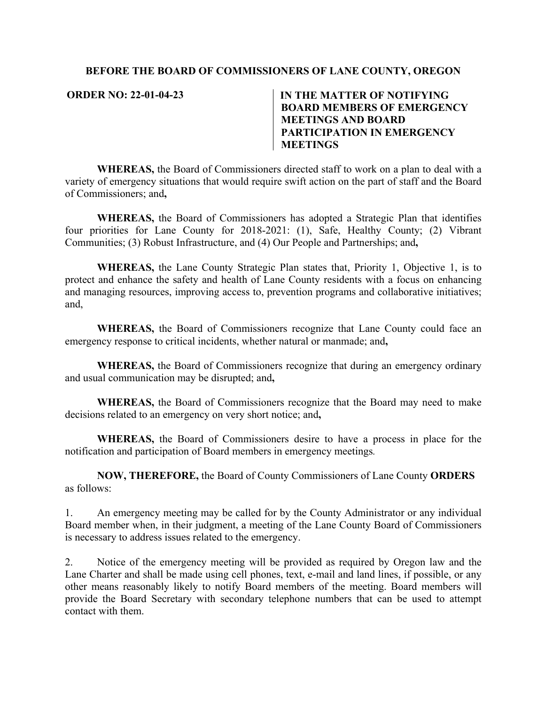## **BEFORE THE BOARD OF COMMISSIONERS OF LANE COUNTY, OREGON**

## **ORDER NO: 22-01-04-23 IN THE MATTER OF NOTIFYING BOARD MEMBERS OF EMERGENCY MEETINGS AND BOARD PARTICIPATION IN EMERGENCY MEETINGS**

**WHEREAS,** the Board of Commissioners directed staff to work on a plan to deal with a variety of emergency situations that would require swift action on the part of staff and the Board of Commissioners; and**,** 

**WHEREAS,** the Board of Commissioners has adopted a Strategic Plan that identifies four priorities for Lane County for 2018-2021: (1), Safe, Healthy County; (2) Vibrant Communities; (3) Robust Infrastructure, and (4) Our People and Partnerships; and**,** 

**WHEREAS,** the Lane County Strategic Plan states that, Priority 1, Objective 1, is to protect and enhance the safety and health of Lane County residents with a focus on enhancing and managing resources, improving access to, prevention programs and collaborative initiatives; and,

**WHEREAS,** the Board of Commissioners recognize that Lane County could face an emergency response to critical incidents, whether natural or manmade; and**,** 

**WHEREAS,** the Board of Commissioners recognize that during an emergency ordinary and usual communication may be disrupted; and**,** 

**WHEREAS,** the Board of Commissioners recognize that the Board may need to make decisions related to an emergency on very short notice; and**,** 

**WHEREAS,** the Board of Commissioners desire to have a process in place for the notification and participation of Board members in emergency meetings*.* 

**NOW, THEREFORE,** the Board of County Commissioners of Lane County **ORDERS**  as follows:

1. An emergency meeting may be called for by the County Administrator or any individual Board member when, in their judgment, a meeting of the Lane County Board of Commissioners is necessary to address issues related to the emergency.

2. Notice of the emergency meeting will be provided as required by Oregon law and the Lane Charter and shall be made using cell phones, text, e-mail and land lines, if possible, or any other means reasonably likely to notify Board members of the meeting. Board members will provide the Board Secretary with secondary telephone numbers that can be used to attempt contact with them.